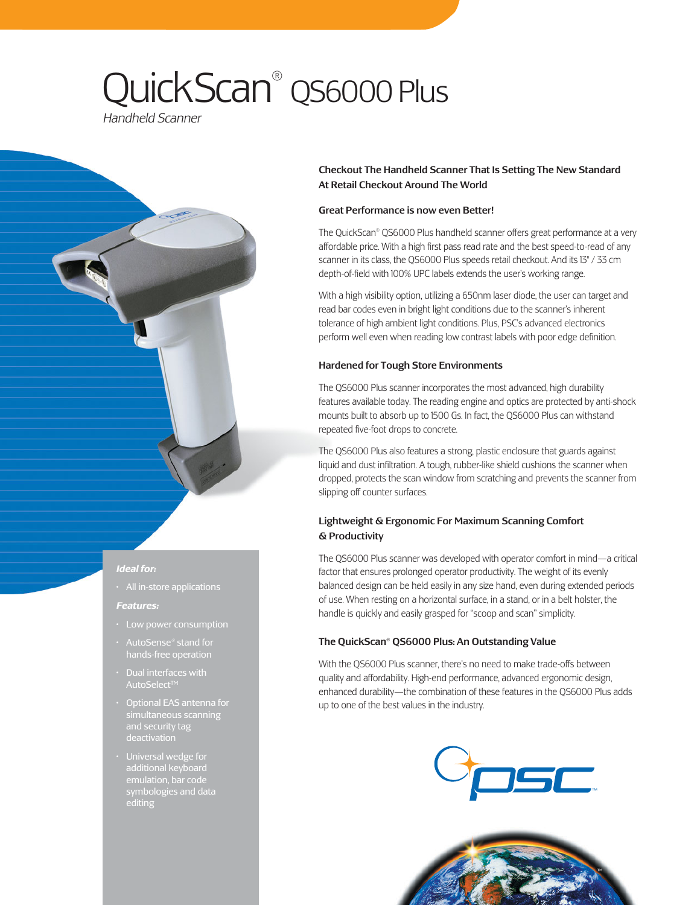# QuickScan® QS6000 Plus

*Handheld Scanner*

# *Ideal for:*

• All in-store applications

#### *Features:*

- Low power consumption
- AutoSense® stand for
- Dual interfaces with AutoSelect™
- Optional EAS antenna for simultaneous scanning and security tag deactivation
- Universal wedge for additional keyboard symbologies and data editing

# Checkout The Handheld Scanner That Is Setting The New Standard At Retail Checkout Around The World

# Great Performance is now even Better!

The QuickScan® QS6000 Plus handheld scanner offers great performance at a very affordable price. With a high first pass read rate and the best speed-to-read of any scanner in its class, the QS6000 Plus speeds retail checkout. And its 13" / 33 cm depth-of-field with 100% UPC labels extends the user's working range.

With a high visibility option, utilizing a 650nm laser diode, the user can target and read bar codes even in bright light conditions due to the scanner's inherent tolerance of high ambient light conditions. Plus, PSC's advanced electronics perform well even when reading low contrast labels with poor edge definition.

# Hardened for Tough Store Environments

The QS6000 Plus scanner incorporates the most advanced, high durability features available today. The reading engine and optics are protected by anti-shock mounts built to absorb up to 1500 Gs. In fact, the QS6000 Plus can withstand repeated five-foot drops to concrete.

The QS6000 Plus also features a strong, plastic enclosure that guards against liquid and dust infiltration. A tough, rubber-like shield cushions the scanner when dropped, protects the scan window from scratching and prevents the scanner from slipping off counter surfaces.

# Lightweight & Ergonomic For Maximum Scanning Comfort & Productivity

The QS6000 Plus scanner was developed with operator comfort in mind—a critical factor that ensures prolonged operator productivity. The weight of its evenly balanced design can be held easily in any size hand, even during extended periods of use. When resting on a horizontal surface, in a stand, or in a belt holster, the handle is quickly and easily grasped for "scoop and scan" simplicity.

# The QuickScan® QS6000 Plus: An Outstanding Value

With the QS6000 Plus scanner, there's no need to make trade-offs between quality and affordability. High-end performance, advanced ergonomic design, enhanced durability—the combination of these features in the QS6000 Plus adds up to one of the best values in the industry.